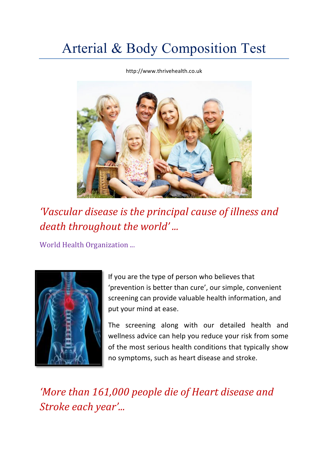# Arterial & Body Composition Test

http://www.thrivehealth.co.uk



*'Vascular disease is the principal cause of illness and* death throughout the world'...

World Health Organization ...



If you are the type of person who believes that 'prevention is better than cure', our simple, convenient screening can provide valuable health information, and put your mind at ease.

The screening along with our detailed health and wellness advice can help you reduce your risk from some of the most serious health conditions that typically show no symptoms, such as heart disease and stroke.

*'More than 161,000 people die of Heart disease and Stroke each year'...*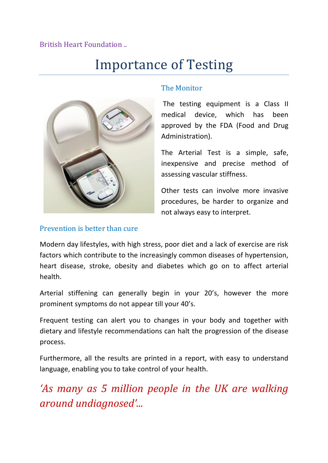#### British Heart Foundation ..

### Importance of Testing



#### The Monitor

The testing equipment is a Class II medical device, which has been approved by the FDA (Food and Drug Administration).

The Arterial Test is a simple, safe, inexpensive and precise method of assessing vascular stiffness.

Other tests can involve more invasive procedures, be harder to organize and not always easy to interpret.

#### Prevention is better than cure

Modern day lifestyles, with high stress, poor diet and a lack of exercise are risk factors which contribute to the increasingly common diseases of hypertension, heart disease, stroke, obesity and diabetes which go on to affect arterial health.

Arterial stiffening can generally begin in your 20's, however the more prominent symptoms do not appear till your 40's.

Frequent testing can alert you to changes in your body and together with dietary and lifestyle recommendations can halt the progression of the disease process.

Furthermore, all the results are printed in a report, with easy to understand language, enabling you to take control of your health.

*'As many as* 5 million people in the UK are walking *around undiagnosed'...*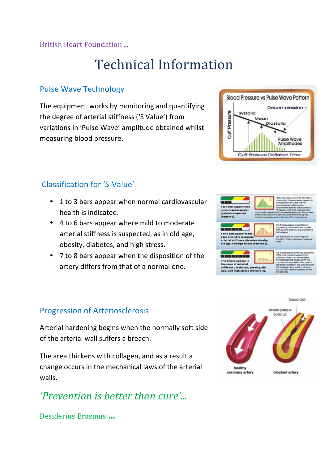### British Heart Foundation ...

## Technical Information

### Pulse Wave Technology

The equipment works by monitoring and quantifying the degree of arterial stiffness ('S Value') from variations in 'Pulse Wave' amplitude obtained whilst measuring blood pressure.



- 1 to 3 bars appear when normal cardiovascular health is indicated.
- 4 to 6 bars appear where mild to moderate arterial stiffness is suspected, as in old age, obesity, diabetes, and high stress.
- 7 to 8 bars appear when the disposition of the artery differs from that of a normal one.

### Progression of Arteriosclerosis

Arterial hardening begins when the normally soft side of the arterial wall suffers a breach.

The area thickens with collagen, and as a result a change occurs in the mechanical laws of the arterial walls.

### *'Prevention is better than cure'...*

Desiderius Erasmus ...





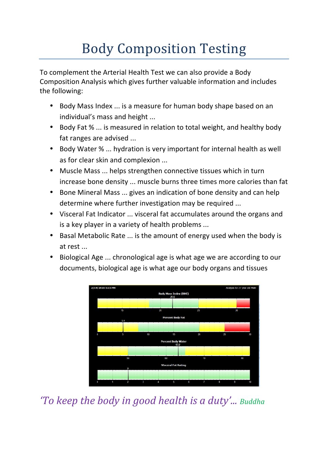# Body Composition Testing

To complement the Arterial Health Test we can also provide a Body Composition Analysis which gives further valuable information and includes the following:

- Body Mass Index ... is a measure for human body shape based on an individual's mass and height ...
- Body Fat % ... is measured in relation to total weight, and healthy body fat ranges are advised ...
- Body Water % ... hydration is very important for internal health as well as for clear skin and complexion ...
- Muscle Mass ... helps strengthen connective tissues which in turn increase bone density ... muscle burns three times more calories than fat
- Bone Mineral Mass ... gives an indication of bone density and can help determine where further investigation may be required ...
- Visceral Fat Indicator ... visceral fat accumulates around the organs and is a key player in a variety of health problems ...
- Basal Metabolic Rate ... is the amount of energy used when the body is at rest ...
- Biological Age ... chronological age is what age we are according to our documents, biological age is what age our body organs and tissues



*'To keep the body in good health is a duty'... Buddha*